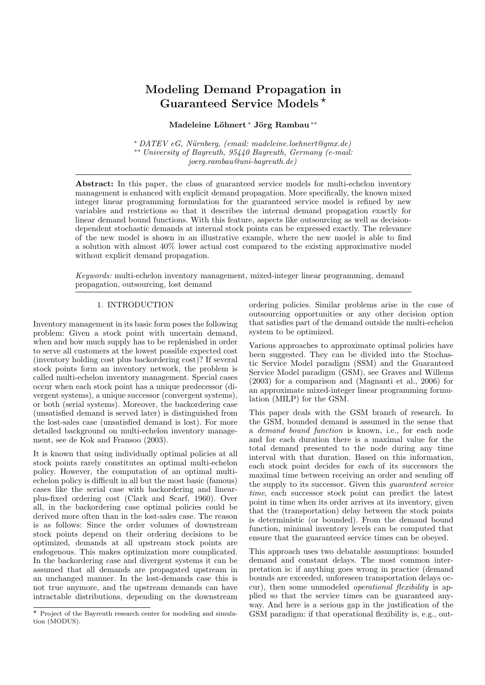# Modeling Demand Propagation in Guaranteed Service Models ?

## Madeleine Löhnert <sup>∗</sup> Jörg Rambau <sup>\*\*</sup>

 $*$  DATEV eG, Nürnberg, (email: madeleine.loehnert@gmx.de) ∗∗ University of Bayreuth, 95440 Bayreuth, Germany (e-mail: joerg.rambau@uni-bayreuth.de)

Abstract: In this paper, the class of guaranteed service models for multi-echelon inventory management is enhanced with explicit demand propagation. More specifically, the known mixed integer linear programming formulation for the guaranteed service model is refined by new variables and restrictions so that it describes the internal demand propagation exactly for linear demand bound functions. With this feature, aspects like outsourcing as well as decisiondependent stochastic demands at internal stock points can be expressed exactly. The relevance of the new model is shown in an illustrative example, where the new model is able to find a solution with almost 40% lower actual cost compared to the existing approximative model without explicit demand propagation.

Keywords: multi-echelon inventory management, mixed-integer linear programming, demand propagation, outsourcing, lost demand

## 1. INTRODUCTION

Inventory management in its basic form poses the following problem: Given a stock point with uncertain demand, when and how much supply has to be replenished in order to serve all customers at the lowest possible expected cost (inventory holding cost plus backordering cost)? If several stock points form an inventory network, the problem is called multi-echelon inventory management. Special cases occur when each stock point has a unique predecessor (divergent systems), a unique successor (convergent systems), or both (serial systems). Moreover, the backordering case (unsatisfied demand is served later) is distinguished from the lost-sales case (unsatisfied demand is lost). For more detailed background on multi-echelon inventory management, see de Kok and Fransoo (2003).

It is known that using individually optimal policies at all stock points rarely constitutes an optimal multi-echelon policy. However, the computation of an optimal multiechelon policy is difficult in all but the most basic (famous) cases like the serial case with backordering and linearplus-fixed ordering cost (Clark and Scarf, 1960). Over all, in the backordering case optimal policies could be derived more often than in the lost-sales case. The reason is as follows: Since the order volumes of downstream stock points depend on their ordering decisions to be optimized, demands at all upstream stock points are endogenous. This makes optimization more complicated. In the backordering case and divergent systems it can be assumed that all demands are propagated upstream in an unchanged manner. In the lost-demands case this is not true anymore, and the upstream demands can have intractable distributions, depending on the downstream

ordering policies. Similar problems arise in the case of outsourcing opportunities or any other decision option that satisfies part of the demand outside the multi-echelon system to be optimized.

Various approaches to approximate optimal policies have been suggested. They can be divided into the Stochastic Service Model paradigm (SSM) and the Guaranteed Service Model paradigm (GSM), see Graves and Willems (2003) for a comparison and (Magnanti et al., 2006) for an approximate mixed-integer linear programming formulation (MILP) for the GSM.

This paper deals with the GSM branch of research. In the GSM, bounded demand is assumed in the sense that a demand bound function is known, i.e., for each node and for each duration there is a maximal value for the total demand presented to the node during any time interval with that duration. Based on this information, each stock point decides for each of its successors the maximal time between receiving an order and sending off the supply to its successor. Given this guaranteed service time, each successor stock point can predict the latest point in time when its order arrives at its inventory, given that the (transportation) delay between the stock points is deterministic (or bounded). From the demand bound function, minimal inventory levels can be computed that ensure that the guaranteed service times can be obeyed.

This approach uses two debatable assumptions: bounded demand and constant delays. The most common interpretation is: if anything goes wrong in practice (demand bounds are exceeded, unforeseen transportation delays occur), then some unmodeled operational flexibility is applied so that the service times can be guaranteed anyway. And here is a serious gap in the justification of the GSM paradigm: if that operational flexibility is, e.g., out-

<sup>?</sup> Project of the Bayreuth research center for modeling and simulation (MODUS).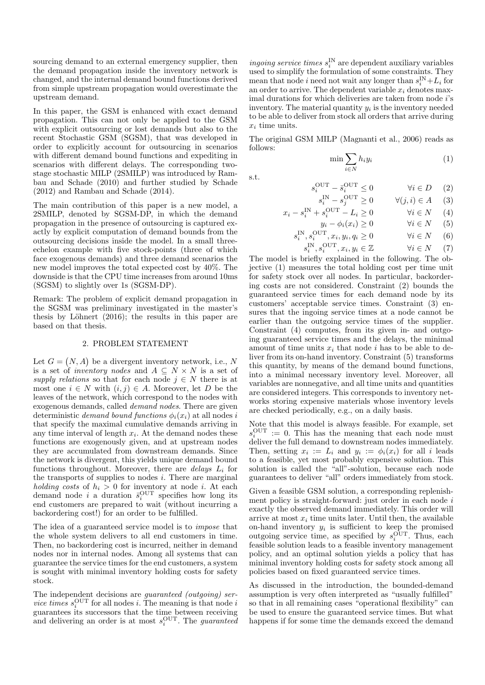sourcing demand to an external emergency supplier, then the demand propagation inside the inventory network is changed, and the internal demand bound functions derived from simple upstream propagation would overestimate the upstream demand.

In this paper, the GSM is enhanced with exact demand propagation. This can not only be applied to the GSM with explicit outsourcing or lost demands but also to the recent Stochastic GSM (SGSM), that was developed in order to explicitly account for outsourcing in scenarios with different demand bound functions and expediting in scenarios with different delays. The corresponding twostage stochastic MILP (2SMILP) was introduced by Rambau and Schade (2010) and further studied by Schade (2012) and Rambau and Schade (2014).

The main contribution of this paper is a new model, a 2SMILP, denoted by SGSM-DP, in which the demand propagation in the presence of outsourcing is captured exactly by explicit computation of demand bounds from the outsourcing decisions inside the model. In a small threeechelon example with five stock-points (three of which face exogenous demands) and three demand scenarios the new model improves the total expected cost by 40%. The downside is that the CPU time increases from around 10ms (SGSM) to slightly over 1s (SGSM-DP).

Remark: The problem of explicit demand propagation in the SGSM was preliminary investigated in the master's thesis by Löhnert  $(2016)$ ; the results in this paper are based on that thesis.

### 2. PROBLEM STATEMENT

Let  $G = (N, A)$  be a divergent inventory network, i.e., N is a set of *inventory nodes* and  $A \subseteq N \times N$  is a set of supply relations so that for each node  $j \in N$  there is at most one  $i \in N$  with  $(i, j) \in A$ . Moreover, let D be the leaves of the network, which correspond to the nodes with exogenous demands, called demand nodes. There are given deterministic demand bound functions  $\phi_i(x_i)$  at all nodes i that specify the maximal cumulative demands arriving in any time interval of length  $x_i$ . At the demand nodes these functions are exogenously given, and at upstream nodes they are accumulated from downstream demands. Since the network is divergent, this yields unique demand bound functions throughout. Moreover, there are *delays*  $L_i$  for the transports of supplies to nodes i. There are marginal holding costs of  $h_i > 0$  for inventory at node i. At each demand node *i* a duration  $\bar{s}_i^{\text{OUT}}$  specifies how long its end customers are prepared to wait (without incurring a backordering cost!) for an order to be fulfilled.

The idea of a guaranteed service model is to impose that the whole system delivers to all end customers in time. Then, no backordering cost is incurred, neither in demand nodes nor in internal nodes. Among all systems that can guarantee the service times for the end customers, a system is sought with minimal inventory holding costs for safety stock.

The independent decisions are *guaranteed (outgoing) service times*  $s_i^{\text{OUT}}$  for all nodes *i*. The meaning is that node *i* guarantees its successors that the time between receiving and delivering an order is at most  $s_i^{\text{OUT}}$ . The *guaranteed* 

ingoing service times  $s_i^{\text{IN}}$  are dependent auxiliary variables used to simplify the formulation of some constraints. They mean that node *i* need not wait any longer than  $s_i^{\text{IN}} + L_i$  for an order to arrive. The dependent variable  $x_i$  denotes maximal durations for which deliveries are taken from node *i*'s inventory. The material quantity  $y_i$  is the inventory needed to be able to deliver from stock all orders that arrive during  $x_i$  time units.

The original GSM MILP (Magnanti et al., 2006) reads as follows:

$$
\min \sum_{i \in N} h_i y_i \tag{1}
$$

$$
\quad \text{s.t.} \quad
$$

$$
s_i^{\text{OUT}} - \bar{s}_i^{\text{OUT}} \le 0 \qquad \qquad \forall i \in D \quad (2)
$$

$$
s_i^{\text{IN}} - s_j^{\text{OUT}} \ge 0 \qquad \forall (j, i) \in A \quad (3)
$$

$$
x_i - s_i^{\text{IN}} + s_i^{\text{OUT}} - L_i \ge 0 \qquad \forall i \in N \tag{4}
$$

$$
y_i - \phi_i(x_i) \ge 0 \qquad \forall i \in N \quad (5)
$$

$$
s_i^{\text{IN}}, s_i^{\text{OUT}}, x_i, y_i, q_i \ge 0 \qquad \forall i \in N \quad (6)
$$
  

$$
s_i^{\text{IN}} \circ \text{OUT } x_i, y_i \in \mathbb{Z} \qquad \forall i \in N \quad (7)
$$

$$
s_i^{\text{IN}}, s_i^{\text{OUT}}, x_i, y_i \in \mathbb{Z} \qquad \forall i \in N \qquad (7)
$$

The model is briefly explained in the following. The objective (1) measures the total holding cost per time unit for safety stock over all nodes. In particular, backordering costs are not considered. Constraint (2) bounds the guaranteed service times for each demand node by its customers' acceptable service times. Constraint (3) ensures that the ingoing service times at a node cannot be earlier than the outgoing service times of the supplier. Constraint (4) computes, from its given in- and outgoing guaranteed service times and the delays, the minimal amount of time units  $x_i$  that node i has to be able to deliver from its on-hand inventory. Constraint (5) transforms this quantity, by means of the demand bound functions, into a minimal necessary inventory level. Moreover, all variables are nonnegative, and all time units and quantities are considered integers. This corresponds to inventory networks storing expensive materials whose inventory levels are checked periodically, e.g., on a daily basis.

Note that this model is always feasible. For example, set  $s_i^{\text{OUT}} := 0$ . This has the meaning that each node must deliver the full demand to downstream nodes immediately. Then, setting  $x_i := L_i$  and  $y_i := \phi_i(x_i)$  for all i leads to a feasible, yet most probably expensive solution. This solution is called the "all"-solution, because each node guarantees to deliver "all" orders immediately from stock.

Given a feasible GSM solution, a corresponding replenishment policy is straight-forward: just order in each node  $i$ exactly the observed demand immediately. This order will arrive at most  $x_i$  time units later. Until then, the available on-hand inventory  $y_i$  is sufficient to keep the promised outgoing service time, as specified by  $s_i^{\text{OUT}}$ . Thus, each feasible solution leads to a feasible inventory management policy, and an optimal solution yields a policy that has minimal inventory holding costs for safety stock among all policies based on fixed guaranteed service times.

As discussed in the introduction, the bounded-demand assumption is very often interpreted as "usually fulfilled" so that in all remaining cases "operational flexibility" can be used to ensure the guaranteed service times. But what happens if for some time the demands exceed the demand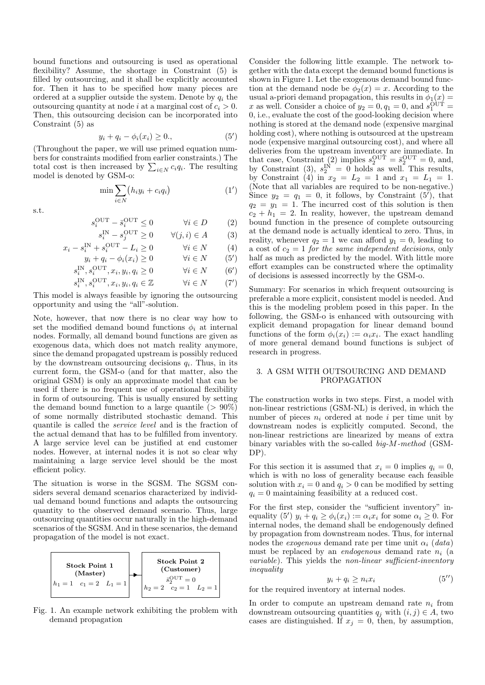bound functions and outsourcing is used as operational flexibility? Assume, the shortage in Constraint (5) is filled by outsourcing, and it shall be explicitly accounted for. Then it has to be specified how many pieces are ordered at a supplier outside the system. Denote by  $q_i$  the outsourcing quantity at node i at a marginal cost of  $c_i > 0$ . Then, this outsourcing decision can be incorporated into Constraint (5) as

$$
y_i + q_i - \phi_i(x_i) \ge 0,
$$
\n<sup>(5')</sup>

(Throughout the paper, we will use primed equation numbers for constraints modified from earlier constraints.) The total cost is then increased by  $\sum_{i\in N} c_i q_i$ . The resulting model is denoted by GSM-o:

$$
\min \sum_{i \in N} (h_i y_i + c_i q_i) \tag{1'}
$$

s.t.

$$
s_i^{\text{OUT}} - \bar{s}_i^{\text{OUT}} \le 0 \qquad \qquad \forall i \in D \tag{2}
$$

$$
s_i^{\text{IN}} - s_j^{\text{OUT}} \ge 0 \qquad \forall (j, i) \in A \tag{3}
$$

$$
x_i - s_i^{\text{IN}} + s_i^{\text{OUT}} - L_i \ge 0 \qquad \forall i \in N \tag{4}
$$

$$
y_i + q_i - \phi_i(x_i) \ge 0 \qquad \forall i \in N \qquad (5')
$$

$$
s_i^{\text{IN}}, s_i^{\text{OUT}}, x_i, y_i, q_i \ge 0 \qquad \forall i \in N \qquad (6')
$$

$$
s_i^{\text{IN}}, s_i^{\text{OUT}}, x_i, y_i, q_i \in \mathbb{Z} \qquad \qquad \forall i \in N \qquad (7')
$$

This model is always feasible by ignoring the outsourcing opportunity and using the "all"-solution.

Note, however, that now there is no clear way how to set the modified demand bound functions  $\phi_i$  at internal nodes. Formally, all demand bound functions are given as exogenous data, which does not match reality anymore, since the demand propagated upstream is possibly reduced by the downstream outsourcing decisions  $q_i$ . Thus, in its current form, the GSM-o (and for that matter, also the original GSM) is only an approximate model that can be used if there is no frequent use of operational flexibility in form of outsourcing. This is usually ensured by setting the demand bound function to a large quantile  $(> 90\%)$ of some normally distributed stochastic demand. This quantile is called the service level and is the fraction of the actual demand that has to be fulfilled from inventory. A large service level can be justified at end customer nodes. However, at internal nodes it is not so clear why maintaining a large service level should be the most efficient policy.

The situation is worse in the SGSM. The SGSM considers several demand scenarios characterized by individual demand bound functions and adapts the outsourcing quantity to the observed demand scenario. Thus, large outsourcing quantities occur naturally in the high-demand scenarios of the SGSM. And in these scenarios, the demand propagation of the model is not exact.



Fig. 1. An example network exhibiting the problem with demand propagation

Consider the following little example. The network together with the data except the demand bound functions is shown in Figure 1. Let the exogenous demand bound function at the demand node be  $\phi_2(x) = x$ . According to the usual a-priori demand propagation, this results in  $\phi_1(x)$  = x as well. Consider a choice of  $y_2 = 0, q_1 = 0$ , and  $s_1^{\text{OUT}} =$ 0, i.e., evaluate the cost of the good-looking decision where nothing is stored at the demand node (expensive marginal holding cost), where nothing is outsourced at the upstream node (expensive marginal outsourcing cost), and where all deliveries from the upstream inventory are immediate. In that case, Constraint (2) implies  $s_2^{\text{OUT}} = \bar{s}_2^{\text{OUT}} = 0$ , and, by Constraint (3),  $s_2^{\text{IN}} = 0$  holds as well. This results, by Constraint (4) in  $x_2 = L_2 = 1$  and  $x_1 = L_1 = 1$ . (Note that all variables are required to be non-negative.) Since  $y_2 = q_1 = 0$ , it follows, by Constraint  $(5')$ , that  $q_2 = y_1 = 1$ . The incurred cost of this solution is then  $c_2 + h_1 = 2$ . In reality, however, the upstream demand bound function in the presence of complete outsourcing at the demand node is actually identical to zero. Thus, in reality, whenever  $q_2 = 1$  we can afford  $y_1 = 0$ , leading to a cost of  $c_2 = 1$  for the same independent decisions, only half as much as predicted by the model. With little more effort examples can be constructed where the optimality of decisions is assessed incorrectly by the GSM-o.

Summary: For scenarios in which frequent outsourcing is preferable a more explicit, consistent model is needed. And this is the modeling problem posed in this paper. In the following, the GSM-o is enhanced with outsourcing with explicit demand propagation for linear demand bound functions of the form  $\phi_i(x_i) := \alpha_i x_i$ . The exact handling of more general demand bound functions is subject of research in progress.

#### 3. A GSM WITH OUTSOURCING AND DEMAND PROPAGATION

The construction works in two steps. First, a model with non-linear restrictions (GSM-NL) is derived, in which the number of pieces  $n_i$  ordered at node i per time unit by downstream nodes is explicitly computed. Second, the non-linear restrictions are linearized by means of extra binary variables with the so-called big-M-method (GSM-DP).

For this section it is assumed that  $x_i = 0$  implies  $q_i = 0$ , which is with no loss of generality because each feasible solution with  $x_i = 0$  and  $q_i > 0$  can be modified by setting  $q_i = 0$  maintaining feasibility at a reduced cost.

For the first step, consider the "sufficient inventory" inequality (5')  $y_i + q_i \ge \phi_i(x_i) := \alpha_i x_i$  for some  $\alpha_i \ge 0$ . For internal nodes, the demand shall be endogenously defined by propagation from downstream nodes. Thus, for internal nodes the *exogenous* demand rate per time unit  $\alpha_i$  (data) must be replaced by an *endogenous* demand rate  $n_i$  (a variable). This yields the non-linear sufficient-inventory inequality

$$
y_i + q_i \ge n_i x_i \tag{5''}
$$

for the required inventory at internal nodes.

In order to compute an upstream demand rate  $n_i$  from downstream outsourcing quantities  $q_j$  with  $(i, j) \in A$ , two cases are distinguished. If  $x_j = 0$ , then, by assumption,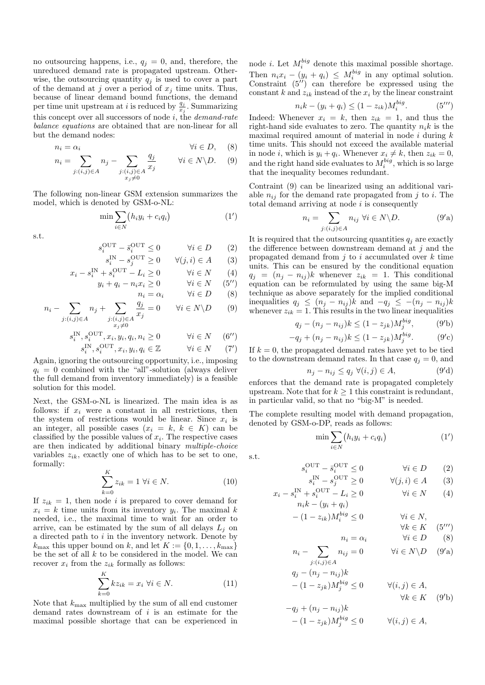no outsourcing happens, i.e.,  $q_j = 0$ , and, therefore, the unreduced demand rate is propagated upstream. Otherwise, the outsourcing quantity  $q_j$  is used to cover a part of the demand at j over a period of  $x_i$  time units. Thus, because of linear demand bound functions, the demand per time unit upstream at *i* is reduced by  $\frac{q_j}{x_j}$ . Summarizing this concept over all successors of node  $i$ , the *demand-rate* balance equations are obtained that are non-linear for all but the demand nodes:

$$
n_i = \alpha_i \qquad \qquad \forall i \in D, \quad (8)
$$

$$
n_i = \sum_{j:(i,j)\in A} n_j - \sum_{\substack{j:(i,j)\in A \\ x_j\neq 0}} \frac{q_j}{x_j} \qquad \forall i \in N \backslash D. \tag{9}
$$

The following non-linear GSM extension summarizes the model, which is denoted by GSM-o-NL:

$$
\min \sum_{i \in N} (h_i y_i + c_i q_i) \tag{1'}
$$

s.t.

$$
s_i^{\text{OUT}} - \bar{s}_i^{\text{OUT}} \le 0 \qquad \qquad \forall i \in D \qquad (2)
$$

$$
s_i^{\text{IN}} - s_j^{\text{OUT}} \ge 0 \qquad \forall (j, i) \in A \tag{3}
$$

$$
x_i - s_i^{\text{IN}} + s_i^{\text{OUT}} - L_i \ge 0 \qquad \forall i \in N \qquad (4)
$$

$$
y_i + q_i - n_i x_i \ge 0 \qquad \forall i \in N \quad (5'')
$$
  

$$
n_i = \alpha_i \qquad \forall i \in D \quad (8)
$$

$$
n_i - \sum_{j:(i,j)\in A} n_j + \sum_{\substack{j:(i,j)\in A \\ x_j\neq 0}} \frac{q_j}{x_j} = 0 \qquad \forall i \in N \setminus D \tag{9}
$$

$$
s_i^{\rm IN}, s_i^{\rm OUT}, x_i, y_i, q_i, n_i \geq 0 \qquad \qquad \forall i \in N \quad \ \ (6^{\prime \prime})
$$

$$
s_i^{\text{IN}}, s_i^{\text{OUT}}, x_i, y_i, q_i \in \mathbb{Z} \qquad \forall i \in N \qquad (7')
$$

Again, ignoring the outsourcing opportunity, i.e., imposing  $q_i = 0$  combined with the "all"-solution (always deliver the full demand from inventory immediately) is a feasible solution for this model.

Next, the GSM-o-NL is linearized. The main idea is as follows: if  $x_i$  were a constant in all restrictions, then the system of restrictions would be linear. Since  $x_i$  is an integer, all possible cases  $(x_i = k, k \in K)$  can be classified by the possible values of  $x_i$ . The respective cases are then indicated by additional binary multiple-choice variables  $z_{ik}$ , exactly one of which has to be set to one, formally:

$$
\sum_{k=0}^{K} z_{ik} = 1 \,\forall i \in N. \tag{10}
$$

If  $z_{ik} = 1$ , then node i is prepared to cover demand for  $x_i = k$  time units from its inventory  $y_i$ . The maximal k needed, i.e., the maximal time to wait for an order to arrive, can be estimated by the sum of all delays  $L_j$  on a directed path to  $i$  in the inventory network. Denote by  $k_{\text{max}}$  this upper bound on k, and let  $K := \{0, 1, \ldots, k_{\text{max}}\}$ be the set of all  $k$  to be considered in the model. We can recover  $x_i$  from the  $z_{ik}$  formally as follows:

$$
\sum_{k=0}^{K} kz_{ik} = x_i \,\forall i \in N. \tag{11}
$$

Note that  $k_{\text{max}}$  multiplied by the sum of all end customer demand rates downstream of  $i$  is an estimate for the maximal possible shortage that can be experienced in

node *i*. Let  $M_i^{big}$  denote this maximal possible shortage. Then  $n_i x_i - (y_i + q_i) \leq M_i^{big}$  in any optimal solution. Constraint  $(5^{17})$  can therefore be expressed using the constant k and  $z_{ik}$  instead of the  $x_i$  by the linear constraint

$$
n_i k - (y_i + q_i) \le (1 - z_{ik}) M_i^{big}.
$$
 (5'')

Indeed: Whenever  $x_i = k$ , then  $z_{ik} = 1$ , and thus the right-hand side evaluates to zero. The quantity  $n_i k$  is the maximal required amount of material in node  $i$  during  $k$ time units. This should not exceed the available material in node *i*, which is  $y_i + q_i$ . Whenever  $x_i \neq k$ , then  $z_{ik} = 0$ , and the right hand side evaluates to  $M_i^{big}$ , which is so large that the inequality becomes redundant.

Contraint (9) can be linearized using an additional variable  $n_{ij}$  for the demand rate propagated from j to i. The total demand arriving at node  $i$  is consequently

$$
n_i = \sum_{j:(i,j)\in A} n_{ij} \,\,\forall i \in N \backslash D. \tag{9'}
$$

It is required that the outsourcing quantities  $q_i$  are exactly the difference between downstream demand at  $j$  and the propagated demand from  $j$  to  $i$  accumulated over  $k$  time units. This can be ensured by the conditional equation  $q_i = (n_i - n_{ij})k$  whenever  $z_{ik} = 1$ . This conditional equation can be reformulated by using the same big-M technique as above separately for the implied conditional inequalities  $q_j \leq (n_j - n_{ij})k$  and  $-q_j \leq -(n_j - n_{ij})k$ whenever  $z_{ik} = 1$ . This results in the two linear inequalities

$$
q_j - (n_j - n_{ij})k \le (1 - z_{jk})M_j^{big}, \qquad (9')
$$

$$
-q_j + (n_j - n_{ij})k \le (1 - z_{jk})M_j^{big}.
$$
 (9'c)

If  $k = 0$ , the propagated demand rates have yet to be tied to the downstream demand rates. In that case  $q_i = 0$ , and

$$
n_j - n_{ij} \le q_j \ \forall (i, j) \in A,
$$
\n(9'd)

enforces that the demand rate is propagated completely upstream. Note that for  $k \geq 1$  this constraint is redundant, in particular valid, so that no "big-M" is needed.

The complete resulting model with demand propagation, denoted by GSM-o-DP, reads as follows:

$$
\min \sum_{i \in N} (h_i y_i + c_i q_i) \tag{1'}
$$

s.t.

$$
s_i^{\text{OUT}} - \bar{s}_i^{\text{OUT}} \le 0 \qquad \qquad \forall i \in D \qquad (2)
$$
  

$$
s_i^{\text{IN}} - s_i^{\text{OUT}} > 0 \qquad \qquad \forall i \in D \qquad (3)
$$

$$
s_i^{\text{IN}} - s_j^{\text{OUT}} \ge 0 \qquad \forall (j, i) \in A \qquad (3)
$$
  

$$
x_i - s_i^{\text{IN}} + s_i^{\text{OUT}} - L_i \ge 0 \qquad \forall i \in N \qquad (4)
$$
  

$$
n_i k - (y_i + q_i)
$$

$$
-(1-z_{ik})M_i^{big} \le 0 \qquad \forall i \in N, \forall k \in K \quad (5^{\prime\prime\prime})
$$

$$
n_i = \alpha_i \qquad \qquad \forall i \in D \qquad (8)
$$

$$
n_i - \sum_{j:(i,j)\in A} n_{ij} = 0 \qquad \forall i \in N \backslash D \quad (9'a)
$$

$$
q_j - (n_j - n_{ij})k
$$
  
- (1 - z\_{jk})
$$
M_j^{big} \le 0 \qquad \forall (i, j) \in A,
$$
  

$$
\forall k \in K \quad (9')_1
$$

$$
-q_j + (n_j - n_{ij})k
$$
  
-  $(1 - z_{jk})M_j^{big} \le 0$   $\forall (i, j) \in A$ ,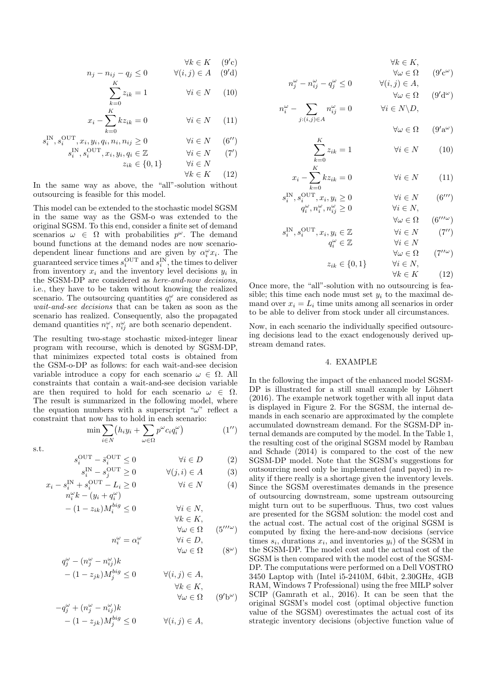$$
\forall k \in K \quad (9'c)
$$
  

$$
n_j - n_{ij} - q_j \le 0 \qquad \forall (i, j) \in A \quad (9'd)
$$

$$
\sum_{k=0}^{K} z_{ik} = 1 \qquad \qquad \forall i \in N \qquad (10)
$$

$$
x_i - \sum_{k=0}^{K} k z_{ik} = 0 \qquad \forall i \in N \qquad (11)
$$

$$
s_i^{\text{IN}}, s_i^{\text{OUT}}, x_i, y_i, q_i, n_i, n_{ij} \ge 0 \qquad \qquad \forall i \in N \qquad (6'')
$$

$$
s_i^{\text{IN}}, s_i^{\text{OUT}}, x_i, y_i, q_i \in \mathbb{Z} \qquad \forall i \in N \qquad (7')
$$
  

$$
z_{ik} \in \{0, 1\} \qquad \forall i \in N
$$

$$
\forall k \in K \qquad (12)
$$

 $\boldsymbol{n}$ 

s

In the same way as above, the "all"-solution without outsourcing is feasible for this model.

This model can be extended to the stochastic model SGSM in the same way as the GSM-o was extended to the original SGSM. To this end, consider a finite set of demand scenarios  $\omega \in \Omega$  with probabilities  $p^{\omega}$ . The demand bound functions at the demand nodes are now scenariodependent linear functions and are given by  $\alpha_i^{\omega} x_i$ . The guaranteed service times  $s_i^{\text{OUT}}$  and  $s_i^{\text{IN}}$ , the times to deliver from inventory  $x_i$  and the inventory level decisions  $y_i$  in the SGSM-DP are considered as here-and-now decisions, i.e., they have to be taken without knowing the realized scenario. The outsourcing quantities  $q_i^{\omega}$  are considered as wait-and-see decisions that can be taken as soon as the scenario has realized. Consequently, also the propagated demand quantities  $n_i^{\omega}$ ,  $n_{ij}^{\omega}$  are both scenario dependent.

The resulting two-stage stochastic mixed-integer linear program with recourse, which is denoted by SGSM-DP, that minimizes expected total costs is obtained from the GSM-o-DP as follows: for each wait-and-see decision variable introduce a copy for each scenario  $\omega \in \Omega$ . All constraints that contain a wait-and-see decision variable are then required to hold for each scenario  $\omega \in \Omega$ . The result is summarized in the following model, where the equation numbers with a superscript " $\omega$ " reflect a constraint that now has to hold in each scenario:

$$
\min \sum_{i \in N} \left( h_i y_i + \sum_{\omega \in \Omega} p^{\omega} c_i q_i^{\omega} \right) \tag{1'}
$$

$$
\, \mathrm{s.t.} \,
$$

$$
s_i^{\text{OUT}} - \bar{s}_i^{\text{OUT}} \le 0 \qquad \qquad \forall i \in D \qquad (2)
$$
  

$$
s_i^{\text{IN}} - s_j^{\text{OUT}} \ge 0 \qquad \qquad \forall (j, i) \in A \qquad (3)
$$

$$
x_i - s_i^{\text{IN}} + s_i^{\text{OUT}} - L_i \ge 0 \qquad \forall i \in N \qquad (4)
$$
  

$$
n_i^{\omega} k - (y_i + q_i^{\omega})
$$

$$
n_i \kappa - (y_i + q_i)
$$
  
- 
$$
(1 - z_{ik})M_i^{big} \le 0
$$
 
$$
\forall i \in N,
$$
  

$$
\forall k \in K,
$$

$$
n_i^{\omega} = \alpha_i^{\omega} \qquad \qquad \forall \omega \in \Omega \qquad (5^{\prime\prime\prime\omega})
$$

$$
\forall i \in D, \qquad \forall \omega \in \Omega \qquad (8^{\omega})
$$

$$
q_j^{\omega} - (n_j^{\omega} - n_{ij}^{\omega})k
$$
  
\n
$$
- (1 - z_{jk})M_j^{big} \le 0 \qquad \forall (i, j) \in A,
$$
  
\n
$$
\forall k \in K,
$$
  
\n
$$
-q_j^{\omega} + (n_j^{\omega} - n_{ij}^{\omega})k
$$
  
\n(9'b<sup>\omega</sup>)

$$
-(1-z_{jk})M_j^{big} \le 0 \qquad \forall (i,j) \in A,
$$

$$
\forall k \in K, \forall \omega \in \Omega \qquad (9'c^{\omega})
$$

$$
n_j^{\omega} - n_{ij}^{\omega} - q_j^{\omega} \le 0 \qquad \forall (i, j) \in A,
$$

$$
\forall \omega \in \Omega \qquad (9'd^{\omega})
$$
  

$$
i^{\omega} - \sum_{j:(i,j) \in A} n_{ij}^{\omega} = 0 \qquad \forall i \in N \backslash D,
$$

 $\forall \omega \in \Omega$  $(9'a^{\omega})$ 

$$
\sum_{k=0}^{K} z_{ik} = 1 \qquad \qquad \forall i \in N \qquad (10)
$$

$$
x_i - \sum_{k=0}^{K} k z_{ik} = 0 \qquad \forall i \in N \qquad (11)
$$

$$
\begin{aligned}\n\lim_{i} \mathbf{S}_{i}^{\text{OUT}}, & \mathbf{S}_{i}^{\text{OUT}}, & \mathbf{x}_{i}, & \mathbf{y}_{i} \ge 0 \\
& \mathbf{q}_{i}^{\omega}, & \mathbf{n}_{i}^{\omega}, & \mathbf{n}_{ij}^{\omega} \ge 0\n\end{aligned}\n\qquad\n\begin{aligned}\n\forall i \in N \quad (6^{\prime\prime\prime}) \\
\forall i \in N, \\
\forall \omega \in \Omega \quad (6^{\prime\prime\prime\omega})\n\end{aligned}
$$

$$
s_i^{\text{IN}}, s_i^{\text{OUT}}, x_i, y_i \in \mathbb{Z} \qquad \qquad \forall i \in N \qquad (7'')
$$
  

$$
q_i^{\omega} \in \mathbb{Z} \qquad \qquad \forall i \in N
$$

$$
\forall \omega \in \Omega \qquad (7''^{\omega})
$$

$$
z_{ik} \in \{0, 1\} \qquad \forall i \in N,
$$

 $\forall k \in K$  (12)

Once more, the "all"-solution with no outsourcing is feasible; this time each node must set  $y_i$  to the maximal demand over  $x_i = L_i$  time units among all scenarios in order to be able to deliver from stock under all circumstances.

Now, in each scenario the individually specified outsourcing decisions lead to the exact endogenously derived upstream demand rates.

#### 4. EXAMPLE

In the following the impact of the enhanced model SGSM-DP is illustrated for a still small example by Löhnert (2016). The example network together with all input data is displayed in Figure 2. For the SGSM, the internal demands in each scenario are approximated by the complete accumulated downstream demand. For the SGSM-DP internal demands are computed by the model. In the Table 1, the resulting cost of the original SGSM model by Rambau and Schade (2014) is compared to the cost of the new SGSM-DP model. Note that the SGSM's suggestions for outsourcing need only be implemented (and payed) in reality if there really is a shortage given the inventory levels. Since the SGSM overestimates demands in the presence of outsourcing downstream, some upstream outsourcing might turn out to be superfluous. Thus, two cost values are presented for the SGSM solution: the model cost and the actual cost. The actual cost of the original SGSM is computed by fixing the here-and-now decisions (service times  $s_i$ , durations  $x_i$ , and inventories  $y_i$ ) of the SGSM in the SGSM-DP. The model cost and the actual cost of the SGSM is then compared with the model cost of the SGSM-DP. The computations were performed on a Dell VOSTRO 3450 Laptop with (Intel i5-2410M, 64bit, 2.30GHz, 4GB RAM, Windows 7 Professional) using the free MILP solver SCIP (Gamrath et al., 2016). It can be seen that the original SGSM's model cost (optimal objective function value of the SGSM) overestimates the actual cost of its strategic inventory decisions (objective function value of